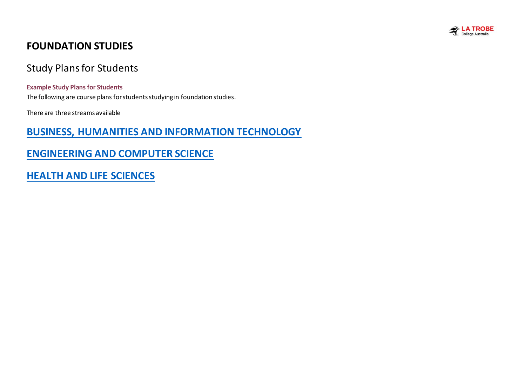

# <span id="page-0-1"></span><span id="page-0-0"></span>**FOUNDATION STUDIES**

# Study Plans for Students

### **Example Study Plans for Students**

The following are course plans for students studying in foundation studies.

There are three streams available

## **[BUSINESS, HUMANITIES AND INFORMATION TECHNOLOGY](#page-0-0)**

## **[ENGINEERING AND COMPUTER SCIENCE](#page-2-0)**

## **[HEALTH AND LIFE SCIENCES](#page-4-0)**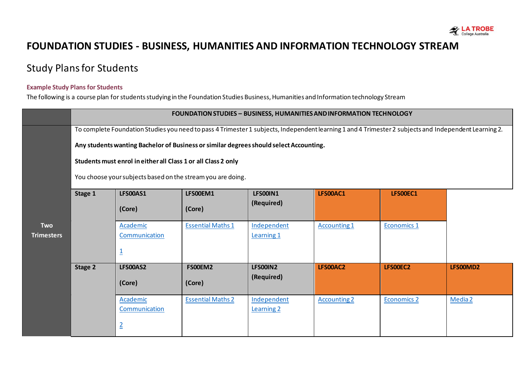

# **FOUNDATION STUDIES - BUSINESS, HUMANITIES AND INFORMATION TECHNOLOGY STREAM**

# Study Plans for Students

### **Example Study Plans for Students**

The following is a course plan for students studying in the Foundation Studies Business, Humanities and Information technology Stream

|                   | <b>FOUNDATION STUDIES - BUSINESS, HUMANITIES AND INFORMATION TECHNOLOGY</b>                                                                           |                                                               |                          |                 |                     |                    |          |
|-------------------|-------------------------------------------------------------------------------------------------------------------------------------------------------|---------------------------------------------------------------|--------------------------|-----------------|---------------------|--------------------|----------|
|                   | To complete Foundation Studies you need to pass 4 Trimester 1 subjects, Independent learning 1 and 4 Trimester 2 subjects and Independent Learning 2. |                                                               |                          |                 |                     |                    |          |
|                   | Any students wanting Bachelor of Business or similar degrees should select Accounting.                                                                |                                                               |                          |                 |                     |                    |          |
|                   |                                                                                                                                                       | Students must enrol in either all Class 1 or all Class 2 only |                          |                 |                     |                    |          |
|                   |                                                                                                                                                       | You choose your subjects based on the stream you are doing.   |                          |                 |                     |                    |          |
|                   | Stage 1                                                                                                                                               | <b>LFS00AS1</b>                                               | LFS00EM1                 | <b>LFS00IN1</b> | LFS00AC1            | <b>LFS00EC1</b>    |          |
|                   |                                                                                                                                                       | (Core)                                                        | (Core)                   | (Required)      |                     |                    |          |
| <b>Two</b>        |                                                                                                                                                       | Academic                                                      | <b>Essential Maths 1</b> | Independent     | <b>Accounting 1</b> | <b>Economics 1</b> |          |
| <b>Trimesters</b> |                                                                                                                                                       | Communication                                                 |                          | Learning 1      |                     |                    |          |
|                   |                                                                                                                                                       | $\overline{1}$                                                |                          |                 |                     |                    |          |
|                   | Stage 2                                                                                                                                               | <b>LFS00AS2</b>                                               | FS00EM2                  | LFS00IN2        | LFS00AC2            | LFS00EC2           | LFS00MD2 |
|                   |                                                                                                                                                       | (Core)                                                        | (Core)                   | (Required)      |                     |                    |          |
|                   |                                                                                                                                                       | Academic                                                      | <b>Essential Maths 2</b> | Independent     | <b>Accounting 2</b> | <b>Economics 2</b> | Media 2  |
|                   |                                                                                                                                                       | Communication                                                 |                          | Learning 2      |                     |                    |          |
|                   |                                                                                                                                                       | $\overline{2}$                                                |                          |                 |                     |                    |          |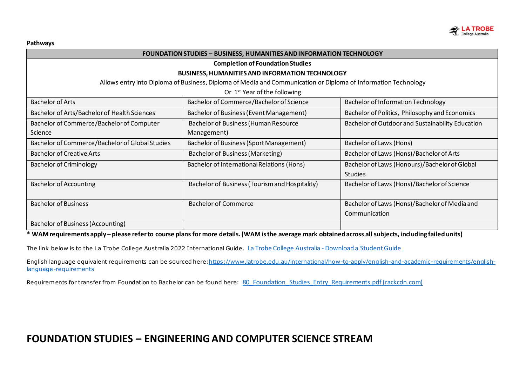**LATROBE** 

#### **Pathways**

|                                                 | <b>FOUNDATION STUDIES - BUSINESS, HUMANITIES AND INFORMATION TECHNOLOGY</b>                                    |                                                  |  |  |  |
|-------------------------------------------------|----------------------------------------------------------------------------------------------------------------|--------------------------------------------------|--|--|--|
| <b>Completion of Foundation Studies</b>         |                                                                                                                |                                                  |  |  |  |
|                                                 | <b>BUSINESS, HUMANITIES AND INFORMATION TECHNOLOGY</b>                                                         |                                                  |  |  |  |
|                                                 | Allows entry into Diploma of Business, Diploma of Media and Communication or Diploma of Information Technology |                                                  |  |  |  |
|                                                 | Or $1st$ Year of the following                                                                                 |                                                  |  |  |  |
| <b>Bachelor of Arts</b>                         | Bachelor of Commerce/Bachelor of Science                                                                       | <b>Bachelor of Information Technology</b>        |  |  |  |
| Bachelor of Arts/Bachelor of Health Sciences    | Bachelor of Business (Event Management)                                                                        | Bachelor of Politics, Philosophy and Economics   |  |  |  |
| Bachelor of Commerce/Bachelor of Computer       | <b>Bachelor of Business (Human Resource</b>                                                                    | Bachelor of Outdoor and Sustainability Education |  |  |  |
| Science                                         | Management)                                                                                                    |                                                  |  |  |  |
| Bachelor of Commerce/Bachelor of Global Studies | Bachelor of Business (Sport Management)                                                                        | Bachelor of Laws (Hons)                          |  |  |  |
| <b>Bachelor of Creative Arts</b>                | Bachelor of Business (Marketing)                                                                               | Bachelor of Laws (Hons)/Bachelor of Arts         |  |  |  |
| <b>Bachelor of Criminology</b>                  | Bachelor of International Relations (Hons)                                                                     | Bachelor of Laws (Honours)/Bachelor of Global    |  |  |  |
|                                                 |                                                                                                                | <b>Studies</b>                                   |  |  |  |
| <b>Bachelor of Accounting</b>                   | Bachelor of Business (Tourism and Hospitality)                                                                 | Bachelor of Laws (Hons)/Bachelor of Science      |  |  |  |
|                                                 |                                                                                                                |                                                  |  |  |  |
| <b>Bachelor of Business</b>                     | <b>Bachelor of Commerce</b>                                                                                    | Bachelor of Laws (Hons)/Bachelor of Media and    |  |  |  |
|                                                 |                                                                                                                | Communication                                    |  |  |  |
| Bachelor of Business (Accounting)               |                                                                                                                |                                                  |  |  |  |

**\* WAM requirements apply – please refer to course plans for more details. (WAM is the average mark obtained across all subjects, including failed units)**

The link below is to the La Trobe College Australia 2022 International Guide. [La Trobe College Australia -](https://www.latrobecollegeaustralia.edu.au/guides) Download a Student Guide

English language equivalent requirements can be sourced her[e:https://www.latrobe.edu.au/international/how-to-apply/english-and-academic-requirements/english](https://www.latrobe.edu.au/international/how-to-apply/english-and-academic-requirements/english-language-requirements)[language-requirements](https://www.latrobe.edu.au/international/how-to-apply/english-and-academic-requirements/english-language-requirements)

<span id="page-2-1"></span><span id="page-2-0"></span>Requirements for transfer from Foundation to Bachelor can be found here: [80\\_Foundation\\_Studies\\_Entry\\_Requirements.pdf \(rackcdn.com\)](https://31c0bf69bed7e9a991ec-3427e94035779112084d02f44e895e28.ssl.cf6.rackcdn.com/80_Foundation_Studies_Entry_Requirements.pdf)

## **FOUNDATION STUDIES – ENGINEERING AND COMPUTER SCIENCE STREAM**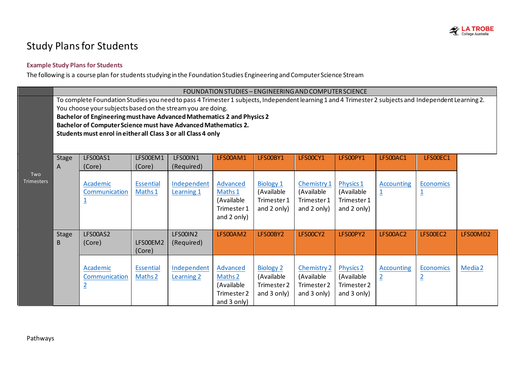

# Study Plans for Students

### **Example Study Plans for Students**

The following is a course plan for students studying in the Foundation Studies Engineering and Computer Science Stream

|                          | FOUNDATION STUDIES - ENGINEERING AND COMPUTER SCIENCE<br>To complete Foundation Studies you need to pass 4 Trimester 1 subjects, Independent learning 1 and 4 Trimester 2 subjects and Independent Learning 2.<br>You choose your subjects based on the stream you are doing.<br>Bachelor of Engineering must have Advanced Mathematics 2 and Physics 2<br>Bachelor of Computer Science must have Advanced Mathematics 2.<br>Students must enrol in either all Class 3 or all Class 4 only |                                                                   |                                                   |                                                     |                                                                 |                                                                          |                                                                              |                                                                          |                                                 |                              |          |
|--------------------------|--------------------------------------------------------------------------------------------------------------------------------------------------------------------------------------------------------------------------------------------------------------------------------------------------------------------------------------------------------------------------------------------------------------------------------------------------------------------------------------------|-------------------------------------------------------------------|---------------------------------------------------|-----------------------------------------------------|-----------------------------------------------------------------|--------------------------------------------------------------------------|------------------------------------------------------------------------------|--------------------------------------------------------------------------|-------------------------------------------------|------------------------------|----------|
| Two<br><b>Trimesters</b> | Stage<br>A                                                                                                                                                                                                                                                                                                                                                                                                                                                                                 | LFS00AS1<br>(Core)<br>Academic<br>Communication<br>$\overline{1}$ | LFS00EM1<br>(Core)<br><b>Essential</b><br>Maths 1 | LFS00IN1<br>(Required)<br>Independent<br>Learning 1 | LFS00AM1<br>Advanced<br>Maths 1<br>(Available<br>Trimester 1    | LFS00BY1<br><b>Biology 1</b><br>(Available<br>Trimester 1<br>and 2 only) | <b>LFS00CY1</b><br>Chemistry 1<br>(Available<br>Trimester 1<br>and $2$ only) | LFS00PY1<br><b>Physics 1</b><br>(Available<br>Trimester 1<br>and 2 only) | LFS00AC1<br><b>Accounting</b><br>$\overline{1}$ | LFS00EC1<br><b>Economics</b> |          |
|                          | <b>Stage</b><br>B                                                                                                                                                                                                                                                                                                                                                                                                                                                                          | LFS00AS2<br>(Core)                                                | LFS00EM2<br>(Core)                                | LFS00IN2<br>(Required)                              | and 2 only)<br>LFS00AM2                                         | LFS00BY2                                                                 | LFS00CY2                                                                     | LFS00PY2                                                                 | LFS00AC2                                        | LFS00EC2                     | LFS00MD2 |
|                          |                                                                                                                                                                                                                                                                                                                                                                                                                                                                                            | Academic<br>Communication<br>$\overline{2}$                       | <b>Essential</b><br>Maths 2                       | Independent<br>Learning 2                           | Advanced<br>Maths 2<br>(Available<br>Trimester 2<br>and 3 only) | <b>Biology 2</b><br>(Available<br>Trimester 2<br>and 3 only)             | Chemistry 2<br>(Available<br>Trimester 2<br>and 3 only)                      | <b>Physics 2</b><br>(Available<br>Trimester 2<br>and $3$ only)           | <b>Accounting</b><br>$\overline{2}$             | Economics<br>$\overline{2}$  | Media 2  |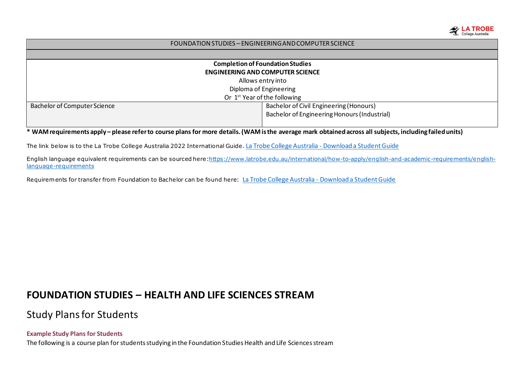

### FOUNDATION STUDIES – ENGINEERING AND COMPUTER SCIENCE **Completion of Foundation Studies ENGINEERING AND COMPUTER SCIENCE** Allows entry into Diploma of Engineering Or 1<sup>st</sup> Year of the following Bachelor of Computer Science **Bachelor of Civil Engineering (Honours)** Bachelor of Engineering Honours (Industrial)

**\* WAM requirements apply – please refer to course plans for more details. (WAM is the average mark obtained across all subjects, including failed units)**

The link below is to the La Trobe College Australia 2022 International Guide. [La Trobe College Australia -](https://www.latrobecollegeaustralia.edu.au/guides) Download a Student Guide

English language equivalent requirements can be sourced her[e:https://www.latrobe.edu.au/international/how-to-apply/english-and-academic-requirements/english](https://www.latrobe.edu.au/international/how-to-apply/english-and-academic-requirements/english-language-requirements)[language-requirements](https://www.latrobe.edu.au/international/how-to-apply/english-and-academic-requirements/english-language-requirements)

Requirements for transfer from Foundation to Bachelor can be found here: [La Trobe College Australia -](https://www.latrobecollegeaustralia.edu.au/guides) Download a Student Guide

## <span id="page-4-1"></span><span id="page-4-0"></span>**FOUNDATION STUDIES – HEALTH AND LIFE SCIENCES STREAM**

## Study Plans for Students

#### **Example Study Plans for Students**

The following is a course plan for students studying in the Foundation Studies Health and Life Sciences stream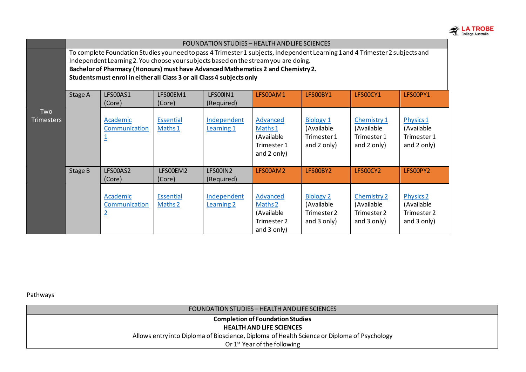

|                          |                                                                                                                                                                                                                                                                                                                                                                                    | <b>FOUNDATION STUDIES - HEALTH AND LIFE SCIENCES</b> |                             |                           |                                                                   |                                                              |                                                           |                                                              |  |
|--------------------------|------------------------------------------------------------------------------------------------------------------------------------------------------------------------------------------------------------------------------------------------------------------------------------------------------------------------------------------------------------------------------------|------------------------------------------------------|-----------------------------|---------------------------|-------------------------------------------------------------------|--------------------------------------------------------------|-----------------------------------------------------------|--------------------------------------------------------------|--|
|                          | To complete Foundation Studies you need to pass 4 Trimester 1 subjects, Independent Learning 1 and 4 Trimester 2 subjects and<br>Independent Learning 2. You choose your subjects based on the stream you are doing.<br>Bachelor of Pharmacy (Honours) must have Advanced Mathematics 2 and Chemistry 2.<br>Students must enrol in either all Class 3 or all Class 4 subjects only |                                                      |                             |                           |                                                                   |                                                              |                                                           |                                                              |  |
|                          | Stage A                                                                                                                                                                                                                                                                                                                                                                            | LFS00AS1<br>(Core)                                   | LFS00EM1<br>(Core)          | LFS00IN1<br>(Required)    | LFS00AM1                                                          | LFS00BY1                                                     | <b>LFS00CY1</b>                                           | LFS00PY1                                                     |  |
| Two<br><b>Trimesters</b> |                                                                                                                                                                                                                                                                                                                                                                                    | Academic<br>Communication<br>ᅸ                       | <b>Essential</b><br>Maths 1 | Independent<br>Learning 1 | Advanced<br>Maths 1<br>(Available<br>Trimester 1<br>and 2 only)   | <b>Biology 1</b><br>(Available<br>Trimester 1<br>and 2 only) | Chemistry 1<br>(Available<br>Trimester 1<br>and 2 only)   | <b>Physics 1</b><br>(Available<br>Trimester 1<br>and 2 only) |  |
|                          | Stage B                                                                                                                                                                                                                                                                                                                                                                            | LFS00AS2<br>(Core)                                   | LFS00EM2<br>(Core)          | LFS00IN2<br>(Required)    | LFS00AM2                                                          | LFS00BY2                                                     | LFS00CY2                                                  | LFS00PY2                                                     |  |
|                          |                                                                                                                                                                                                                                                                                                                                                                                    | Academic<br>Communication<br>$\overline{2}$          | <b>Essential</b><br>Maths 2 | Independent<br>Learning 2 | Advanced<br>Maths 2<br>(Available<br>Trimester 2<br>and $3$ only) | <b>Biology 2</b><br>(Available<br>Trimester 2<br>and 3 only) | Chemistry 2<br>(Available<br>Trimester 2<br>and $3$ only) | <b>Physics 2</b><br>(Available<br>Trimester 2<br>and 3 only) |  |

Pathways

### FOUNDATION STUDIES – HEALTH AND LIFE SCIENCES

#### **Completion of Foundation Studies HEALTH AND LIFE SCIENCES**

Allows entry into Diploma of Bioscience, Diploma of Health Science or Diploma of Psychology

Or 1<sup>st</sup> Year of the following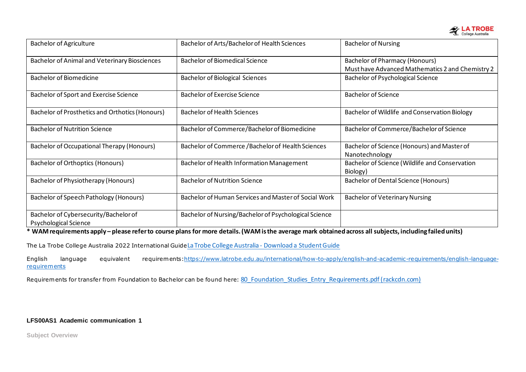

| <b>Bachelor of Agriculture</b>                                        | Bachelor of Arts/Bachelor of Health Sciences          | <b>Bachelor of Nursing</b>                                                                |
|-----------------------------------------------------------------------|-------------------------------------------------------|-------------------------------------------------------------------------------------------|
| <b>Bachelor of Animal and Veterinary Biosciences</b>                  | <b>Bachelor of Biomedical Science</b>                 | <b>Bachelor of Pharmacy (Honours)</b><br>Must have Advanced Mathematics 2 and Chemistry 2 |
| <b>Bachelor of Biomedicine</b>                                        | <b>Bachelor of Biological Sciences</b>                | Bachelor of Psychological Science                                                         |
| Bachelor of Sport and Exercise Science                                | <b>Bachelor of Exercise Science</b>                   | <b>Bachelor of Science</b>                                                                |
| Bachelor of Prosthetics and Orthotics (Honours)                       | <b>Bachelor of Health Sciences</b>                    | Bachelor of Wildlife and Conservation Biology                                             |
| <b>Bachelor of Nutrition Science</b>                                  | Bachelor of Commerce/Bachelor of Biomedicine          | Bachelor of Commerce/Bachelor of Science                                                  |
| <b>Bachelor of Occupational Therapy (Honours)</b>                     | Bachelor of Commerce / Bachelor of Health Sciences    | Bachelor of Science (Honours) and Master of<br>Nanotechnology                             |
| <b>Bachelor of Orthoptics (Honours)</b>                               | <b>Bachelor of Health Information Management</b>      | Bachelor of Science (Wildlife and Conservation<br>Biology)                                |
| <b>Bachelor of Physiotherapy (Honours)</b>                            | <b>Bachelor of Nutrition Science</b>                  | Bachelor of Dental Science (Honours)                                                      |
| Bachelor of Speech Pathology (Honours)                                | Bachelor of Human Services and Master of Social Work  | <b>Bachelor of Veterinary Nursing</b>                                                     |
| Bachelor of Cybersecurity/Bachelor of<br><b>Psychological Science</b> | Bachelor of Nursing/Bachelor of Psychological Science |                                                                                           |

**\* WAM requirements apply – please refer to course plans for more details. (WAM is the average mark obtained across all subjects, including failed units)**

The La Trobe College Australia 2022 International Guide La Trobe College Australia - [Download a Student Guide](https://www.latrobecollegeaustralia.edu.au/guides)

English language equivalent requirements[:https://www.latrobe.edu.au/international/how-to-apply/english-and-academic-requirements/english-language](https://www.latrobe.edu.au/international/how-to-apply/english-and-academic-requirements/english-language-requirements)**[requirements](https://www.latrobe.edu.au/international/how-to-apply/english-and-academic-requirements/english-language-requirements)** 

Requirements for transfer from Foundation to Bachelor can be found here: [80\\_Foundation\\_Studies\\_Entry\\_Requirements.pdf \(rackcdn.com\)](https://31c0bf69bed7e9a991ec-3427e94035779112084d02f44e895e28.ssl.cf6.rackcdn.com/80_Foundation_Studies_Entry_Requirements.pdf)

### <span id="page-6-0"></span>**LFS00AS1 Academic communication 1**

**Subject Overview**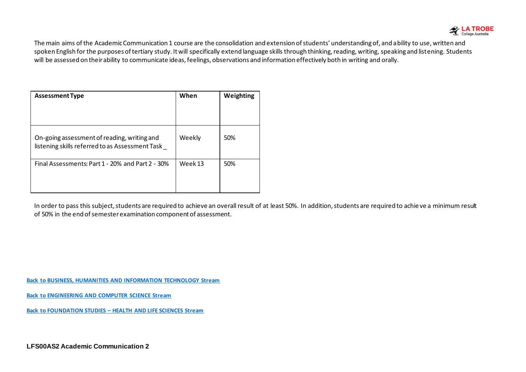

The main aims of the Academic Communication 1 course are the consolidation and extension of students' understanding of, and ability to use, written and spoken English for the purposes of tertiary study. It will specifically extend language skills through thinking, reading, writing, speaking and listening. Students will be assessed on their ability to communicate ideas, feelings, observations and information effectively both in writing and orally.

| <b>Assessment Type</b>                                                                         | When    | Weighting |
|------------------------------------------------------------------------------------------------|---------|-----------|
| On-going assessment of reading, writing and<br>listening skills referred to as Assessment Task | Weekly  | 50%       |
| Final Assessments: Part 1 - 20% and Part 2 - 30%                                               | Week 13 | 50%       |

In order to pass this subject, students are required to achieve an overall result of at least 50%. In addition, students are required to achie ve a minimum result of 50% in the end of semester examination component of assessment.

**[Back to BUSINESS, HUMANITIES AND INFORMATION TECHNOLOGY Stream](#page-0-0)**

**[Back to ENGINEERING AND COMPUTER SCIENCE Stream](#page-2-0)**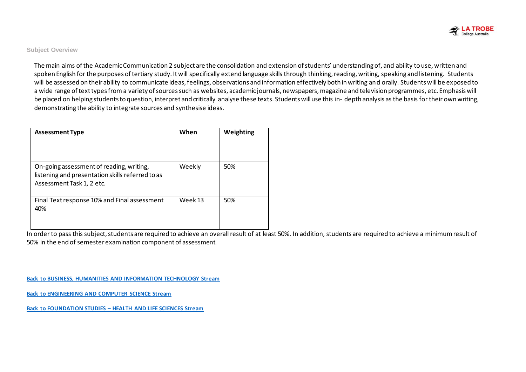

#### **Subject Overview**

The main aims of the Academic Communication 2 subject are the consolidation and extension of students' understanding of, and ability to use, written and spoken English for the purposes of tertiary study. It will specifically extend language skills through thinking, reading, writing, speaking and listening. Students will be assessed on their ability to communicate ideas, feelings, observations and information effectively both in writing and orally. Students will be exposed to a wide range of text types froma variety of sources such as websites, academic journals, newspapers, magazine and television programmes, etc. Emphasis will be placed on helping students to question, interpret and critically analyse these texts. Students will use this in- depth analysis as the basis for their own writing, demonstrating the ability to integrate sources and synthesise ideas.

| <b>Assessment Type</b>                                                                                                    | When    | Weighting |
|---------------------------------------------------------------------------------------------------------------------------|---------|-----------|
| On-going assessment of reading, writing,<br>listening and presentation skills referred to as<br>Assessment Task 1, 2 etc. | Weekly  | 50%       |
| Final Text response 10% and Final assessment<br>40%                                                                       | Week 13 | 50%       |

In order to pass this subject, students are required to achieve an overall result of at least 50%. In addition, students are required to achieve a minimum result of 50% in the end of semester examination component of assessment.

**[Back to BUSINESS, HUMANITIES AND INFORMATION TECHNOLOGY Stream](#page-0-0)**

**[Back to ENGINEERING AND COMPUTER SCIENCE Stream](#page-2-0)**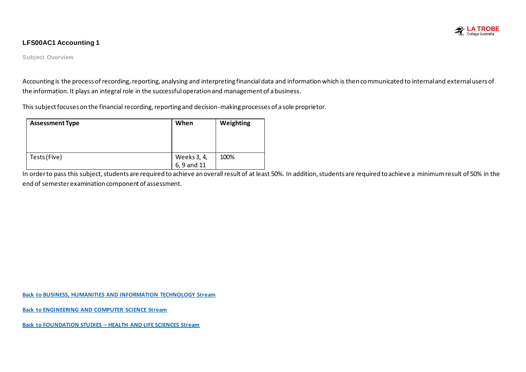

#### <span id="page-9-0"></span>**LFS00AC1 Accounting 1**

**Subject Overview**

Accounting is the process of recording, reporting, analysing and interpreting financial data and information which is then communicated to internal and external users of the information. It plays an integral role in the successful operation and management of a business.

This subject focuses on the financial recording, reporting and decision-making processes of a sole proprietor.

| <b>Assessment Type</b> | When                       | Weighting |
|------------------------|----------------------------|-----------|
|                        |                            |           |
| Tests (Five)           |                            | 100%      |
|                        | Weeks 3, 4,<br>6, 9 and 11 |           |

In order to pass this subject, students are required to achieve an overall result of at least 50%. In addition, students are required to achieve a minimum result of 50% in the end of semester examination component of assessment.

**[Back to BUSINESS, HUMANITIES AND INFORMATION TECHNOLOGY Stream](#page-0-1)**

<span id="page-9-1"></span>**[Back to ENGINEERING AND COMPUTER SCIENCE Stream](#page-2-1)**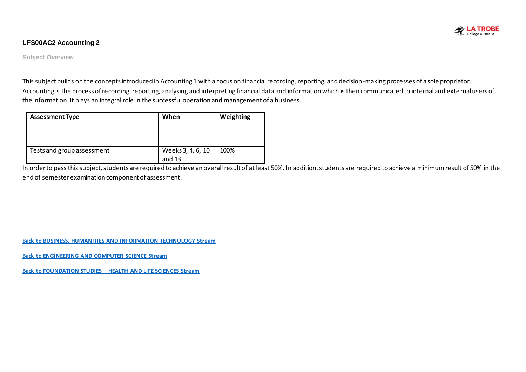

#### **LFS00AC2 Accounting 2**

**Subject Overview**

This subject builds on the concepts introduced in Accounting 1 with a focus on financial recording, reporting, and decision-making processes of a sole proprietor. Accounting is the process of recording, reporting, analysing and interpreting financial data and information which is then communicated to internal and external users of the information. It plays an integral role in the successful operation and management of a business.

| <b>Assessment Type</b>     | When                        | Weighting |
|----------------------------|-----------------------------|-----------|
| Tests and group assessment | Weeks 3, 4, 6, 10<br>and 13 | 100%      |

In order to pass this subject, students are required to achieve an overall result of at least 50%. In addition, students are required to achieve a minimum result of 50% in the end of semester examination component of assessment.

**[Back to BUSINESS, HUMANITIES AND INFORMATION TECHNOLOGY Stream](#page-0-1)**

<span id="page-10-0"></span>**[Back to ENGINEERING AND COMPUTER SCIENCE Stream](#page-2-1)**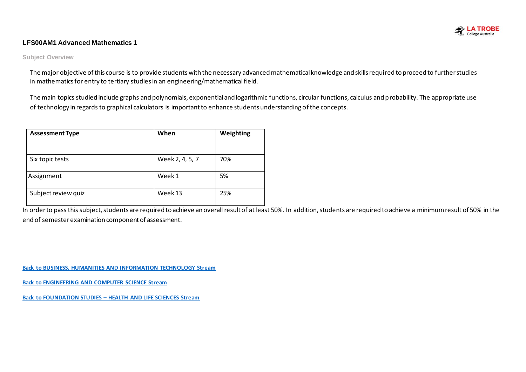

#### **LFS00AM1 Advanced Mathematics 1**

#### **Subject Overview**

The major objective of this course is to provide students with the necessary advanced mathematical knowledge and skills required to proceed to further studies in mathematics for entry to tertiary studies in an engineering/mathematical field.

The main topics studied include graphs and polynomials, exponential and logarithmic functions, circular functions, calculus and probability. The appropriate use of technology in regards to graphical calculators is important to enhance students understanding of the concepts.

| <b>Assessment Type</b> | When            | Weighting |  |
|------------------------|-----------------|-----------|--|
| Six topic tests        | Week 2, 4, 5, 7 | 70%       |  |
| Assignment             | Week 1          | 5%        |  |
| Subject review quiz    | Week 13         | 25%       |  |

In order to pass this subject, students are required to achieve an overall result of at least 50%. In addition, students are required to achieve a minimum result of 50% in the end of semester examination component of assessment.

**[Back to BUSINESS, HUMANITIES AND INFORMATION TECHNOLOGY Stream](#page-0-1)**

**[Back to ENGINEERING AND COMPUTER SCIENCE Stream](#page-2-1)**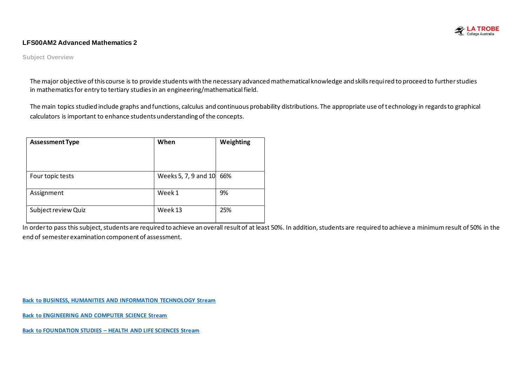

#### <span id="page-12-0"></span>**LFS00AM2 Advanced Mathematics 2**

**Subject Overview**

The major objective of this course is to provide students with the necessary advanced mathematical knowledge and skills required to proceed to further studies in mathematics for entry to tertiary studies in an engineering/mathematical field.

The main topics studied include graphs and functions, calculus and continuous probability distributions. The appropriate use of technology in regards to graphical calculators is important to enhance students understanding of the concepts.

| <b>Assessment Type</b> | When                 | Weighting |
|------------------------|----------------------|-----------|
| Four topic tests       | Weeks 5, 7, 9 and 10 | 66%       |
| Assignment             | Week 1               | 9%        |
| Subject review Quiz    | Week 13              | 25%       |

In order to pass this subject, students are required to achieve an overall result of at least 50%. In addition, students are required to achieve a minimum result of 50% in the end of semester examination component of assessment.

**[Back to BUSINESS, HUMANITIES AND INFORMATION TECHNOLOGY Stream](#page-0-1)**

**[Back to ENGINEERING AND COMPUTER SCIENCE Stream](#page-2-1)**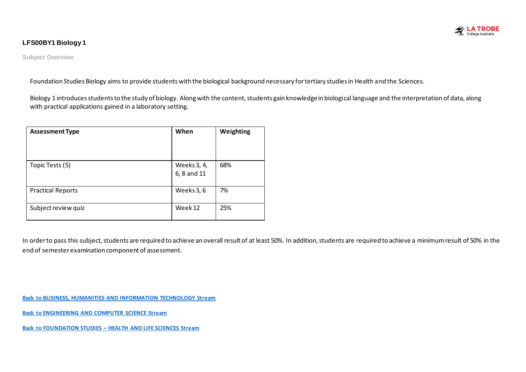

### <span id="page-13-0"></span>**LFS00BY1 Biology 1**

**Subject Overview**

Foundation Studies Biology aims to provide students with the biological background necessary for tertiary studies in Health and the Sciences.

Biology 1 introduces students to the study of biology. Along with the content, students gain knowledge in biological language and the interpretation of data, along with practical applications gained in a laboratory setting.

| <b>Assessment Type</b>   | When                       | Weighting |
|--------------------------|----------------------------|-----------|
| Topic Tests (5)          | Weeks 3, 4,<br>6, 8 and 11 | 68%       |
| <b>Practical Reports</b> | Weeks 3, 6                 | 7%        |
| Subject review quiz      | Week 12                    | 25%       |

In order to pass this subject, students are required to achieve an overall result of at least 50%. In addition, students are required to achieve a minimum result of 50% in the end of semester examination component of assessment.

**[Back to BUSINESS, HUMANITIES AND INFORMATION TECHNOLOGY Stream](#page-0-1)**

**[Back to ENGINEERING AND COMPUTER SCIENCE Stream](#page-2-1)**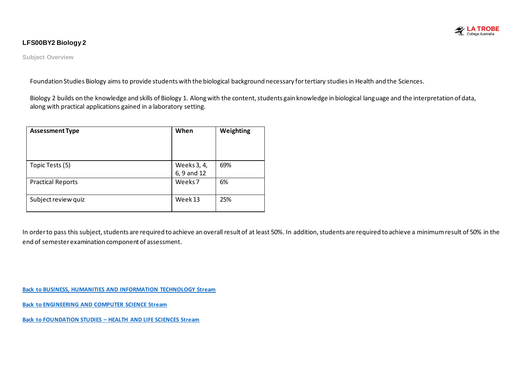

### <span id="page-14-0"></span>**LFS00BY2 Biology 2**

**Subject Overview**

Foundation Studies Biology aims to provide students with the biological background necessary for tertiary studies in Health and the Sciences.

Biology 2 builds on the knowledge and skills of Biology 1. Along with the content, students gain knowledge in biological language and the interpretation of data, along with practical applications gained in a laboratory setting.

| <b>Assessment Type</b>   | When               | Weighting |
|--------------------------|--------------------|-----------|
|                          |                    |           |
| Topic Tests (5)          | Weeks 3, 4,        | 69%       |
|                          | 6, 9 and 12        |           |
| <b>Practical Reports</b> | Weeks <sub>7</sub> | 6%        |
| Subject review quiz      | Week 13            | 25%       |

In order to pass this subject, students are required to achieve an overall result of at least 50%. In addition, students are required to achieve a minimum result of 50% in the end of semester examination component of assessment.

**[Back to BUSINESS, HUMANITIES AND INFORMATION TECHNOLOGY Stream](#page-0-1)**

**[Back to ENGINEERING AND COMPUTER SCIENCE Stream](#page-2-1)**

```
Back to FOUNDATION STUDIES – HEALTH AND LIFE SCIENCES Stream
```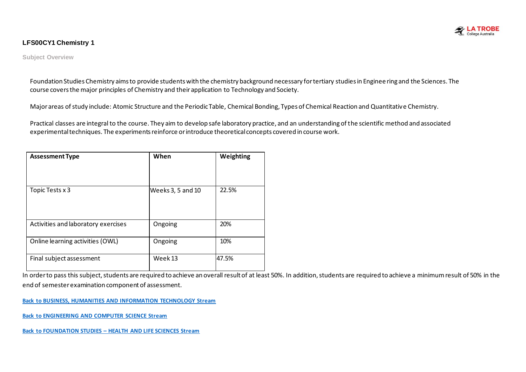

#### <span id="page-15-0"></span>**LFS00CY1 Chemistry 1**

**Subject Overview**

Foundation Studies Chemistry aims to provide students with the chemistry background necessary for tertiary studies in Enginee ring and the Sciences. The course covers the major principles of Chemistry and their application to Technology and Society.

Major areas of study include: Atomic Structure and the Periodic Table, Chemical Bonding, Types of Chemical Reaction and Quantitative Chemistry.

Practical classes are integral to the course. They aim to develop safe laboratory practice, and an understanding of the scientific method and associated experimental techniques. The experiments reinforce or introduce theoretical concepts covered in course work.

| <b>Assessment Type</b>              | When              | Weighting |
|-------------------------------------|-------------------|-----------|
| Topic Tests x 3                     | Weeks 3, 5 and 10 | 22.5%     |
| Activities and laboratory exercises | Ongoing           | 20%       |
| Online learning activities (OWL)    | Ongoing           | 10%       |
| Final subject assessment            | Week 13           | 47.5%     |

In order to pass this subject, students are required to achieve an overall result of at least 50%. In addition, students are required to achieve a minimum result of 50% in the end of semester examination component of assessment.

**[Back to BUSINESS, HUMANITIES AND INFORMATION TECHNOLOGY Stream](#page-0-1)**

**[Back to ENGINEERING AND COMPUTER SCIENCE Stream](#page-2-1)**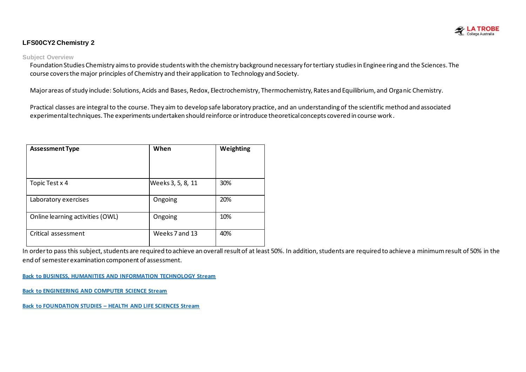

### <span id="page-16-1"></span>**LFS00CY2 Chemistry 2**

#### **Subject Overview**

Foundation Studies Chemistry aims to provide students with the chemistry background necessary for tertiary studies in Enginee ring and the Sciences. The course covers the major principles of Chemistry and their application to Technology and Society.

Major areas of study include: Solutions, Acids and Bases, Redox, Electrochemistry, Thermochemistry, Rates and Equilibrium, and Organic Chemistry.

Practical classes are integral to the course. They aim to develop safe laboratory practice, and an understanding of the scientific method and associated experimental techniques. The experiments undertaken should reinforce or introduce theoretical concepts covered in course work .

| <b>Assessment Type</b>           | When              | Weighting |
|----------------------------------|-------------------|-----------|
|                                  |                   |           |
| Topic Test x 4                   | Weeks 3, 5, 8, 11 | 30%       |
| Laboratory exercises             | Ongoing           | 20%       |
| Online learning activities (OWL) | Ongoing           | 10%       |
| Critical assessment              | Weeks 7 and 13    | 40%       |

In order to pass this subject, students are required to achieve an overall result of at least 50%. In addition, students are required to achieve a minimum result of 50% in the end of semester examination component of assessment.

**[Back to BUSINESS, HUMANITIES AND INFORMATION TECHNOLOGY Stream](#page-0-1)**

<span id="page-16-0"></span>**[Back to ENGINEERING AND COMPUTER SCIENCE Stream](#page-2-1)**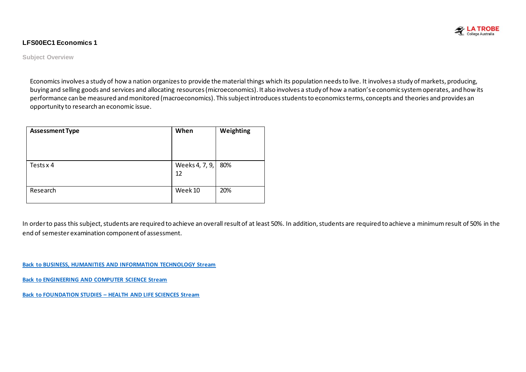

#### **LFS00EC1 Economics 1**

**Subject Overview**

Economics involves a study of how a nation organizes to provide the material things which its population needs to live. It involves a study of markets, producing, buying and selling goods and services and allocating resources (microeconomics). It also involves a study of how a nation's e conomic system operates, and how its performance can be measured and monitored (macroeconomics). This subject introduces students to economics terms, concepts and theories and provides an opportunity to research an economic issue.

| <b>Assessment Type</b> | When                 | Weighting |
|------------------------|----------------------|-----------|
| Tests x 4              | Weeks 4, 7, 9,<br>12 | 80%       |
| Research               | Week 10              | 20%       |

In order to pass this subject, students are required to achieve an overall result of at least 50%. In addition, students are required to achieve a minimum result of 50% in the end of semester examination component of assessment.

**[Back to BUSINESS, HUMANITIES AND INFORMATION TECHNOLOGY Stream](#page-0-1)**

**[Back to ENGINEERING AND COMPUTER SCIENCE Stream](#page-2-1)**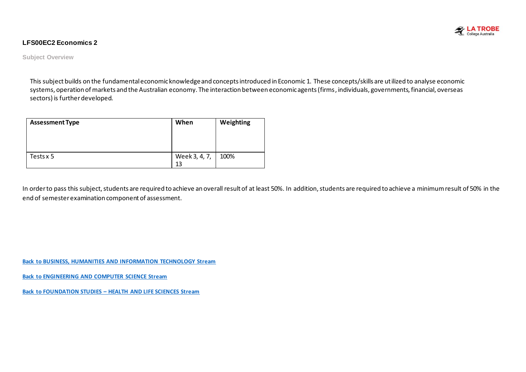

#### <span id="page-18-1"></span>**LFS00EC2 Economics 2**

**Subject Overview**

This subject builds on the fundamental economic knowledge and concepts introduced in Economic 1. These concepts/skills are utilized to analyse economic systems, operation of markets and the Australian economy. The interaction between economic agents (firms, individuals, governments, financial, overseas sectors) is further developed.

| <b>Assessment Type</b> | When          | Weighting |
|------------------------|---------------|-----------|
|                        |               |           |
| Tests x 5              | Week 3, 4, 7, | 100%      |
|                        | 13            |           |

In order to pass this subject, students are required to achieve an overall result of at least 50%. In addition, students are required to achieve a minimum result of 50% in the end of semester examination component of assessment.

**[Back to BUSINESS, HUMANITIES AND INFORMATION TECHNOLOGY Stream](#page-0-1)**

<span id="page-18-0"></span>**[Back to ENGINEERING AND COMPUTER SCIENCE Stream](#page-2-1)**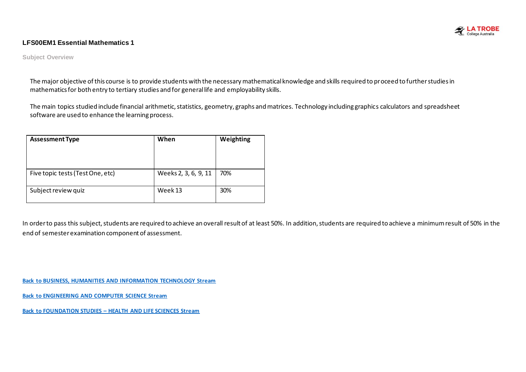

### **LFS00EM1 Essential Mathematics 1**

**Subject Overview**

The major objective of this course is to provide students with the necessary mathematical knowledge and skills required to proceed to further studies in mathematics for both entry to tertiary studies and for general life and employability skills.

The main topics studied include financial arithmetic, statistics, geometry, graphs and matrices. Technology including graphics calculators and spreadsheet software are used to enhance the learning process.

| <b>Assessment Type</b>           | When                 | Weighting |
|----------------------------------|----------------------|-----------|
| Five topic tests (Test One, etc) | Weeks 2, 3, 6, 9, 11 | 70%       |
| Subject review quiz              | Week 13              | 30%       |

In order to pass this subject, students are required to achieve an overall result of at least 50%. In addition, students are required to achieve a minimum result of 50% in the end of semester examination component of assessment.

**[Back to BUSINESS, HUMANITIES AND INFORMATION TECHNOLOGY Stream](#page-0-1)**

**[Back to ENGINEERING AND COMPUTER SCIENCE Stream](#page-2-1)**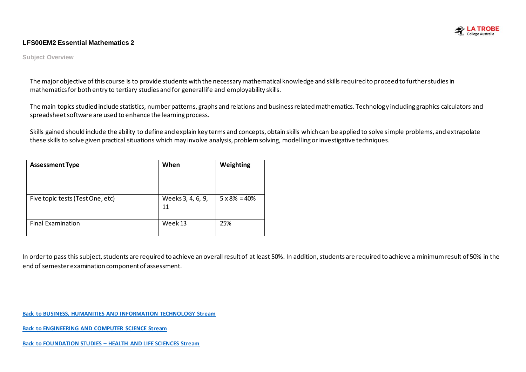

#### <span id="page-20-0"></span>**LFS00EM2 Essential Mathematics 2**

**Subject Overview**

The major objective of this course is to provide students with the necessary mathematical knowledge and skills required to proceed to further studies in mathematics for both entry to tertiary studies and for general life and employability skills.

The main topics studied include statistics, number patterns, graphs and relations and business related mathematics. Technology including graphics calculators and spreadsheet software are used to enhance the learning process.

Skills gained should include the ability to define and explain key terms and concepts, obtain skills which can be applied to solve simple problems, and extrapolate these skills to solve given practical situations which may involve analysis, problem solving, modelling or investigative techniques.

| <b>Assessment Type</b>           | When                    | Weighting             |
|----------------------------------|-------------------------|-----------------------|
| Five topic tests (Test One, etc) | Weeks 3, 4, 6, 9,<br>11 | $5 \times 8\% = 40\%$ |
| <b>Final Examination</b>         | Week 13                 | 25%                   |

In order to pass this subject, students are required to achieve an overall result of at least 50%. In addition, students are required to achieve a minimum result of 50% in the end of semester examination component of assessment.

**[Back to BUSINESS, HUMANITIES AND INFORMATION TECHNOLOGY Stream](#page-0-1)**

**[Back to ENGINEERING AND COMPUTER SCIENCE Stream](#page-2-1)**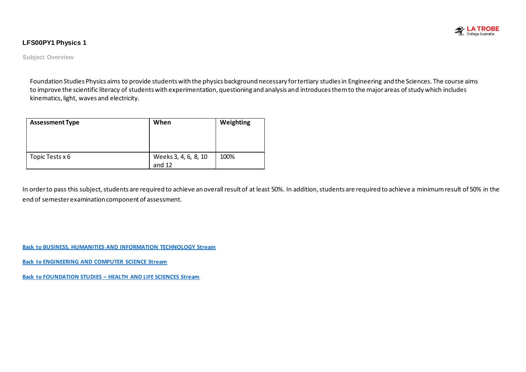

#### <span id="page-21-0"></span>**LFS00PY1 Physics 1**

**Subject Overview**

Foundation Studies Physics aims to provide students with the physics background necessary for tertiary studies in Engineering and the Sciences. The course aims to improve the scientific literacy of students with experimentation, questioning and analysis and introduces them to the major areas of study which includes kinematics, light, waves and electricity.

| <b>Assessment Type</b> | When                           | Weighting |
|------------------------|--------------------------------|-----------|
| Topic Tests x 6        | Weeks 3, 4, 6, 8, 10<br>and 12 | 100%      |

In order to pass this subject, students are required to achieve an overall result of at least 50%. In addition, students are required to achieve a minimum result of 50% in the end of semester examination component of assessment.

**[Back to BUSINESS, HUMANITIES AND INFORMATION TECHNOLOGY Stream](#page-0-1)**

<span id="page-21-1"></span>**[Back to ENGINEERING AND COMPUTER SCIENCE Stream](#page-2-1)**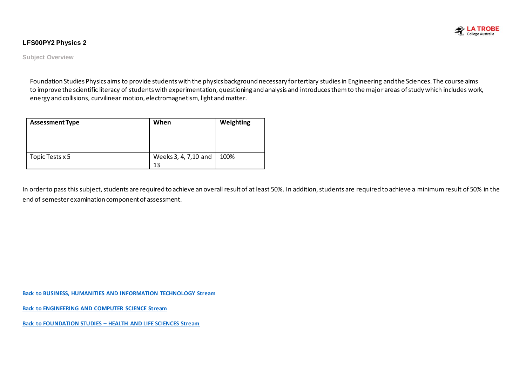

#### **LFS00PY2 Physics 2**

**Subject Overview**

Foundation Studies Physics aims to provide students with the physics background necessary for tertiary studies in Engineering and the Sciences. The course aims to improve the scientific literacy of students with experimentation, questioning and analysis and introduces them to the major areas of study which includes work, energy and collisions, curvilinear motion, electromagnetism, light and matter.

| <b>Assessment Type</b> | When                        | Weighting |
|------------------------|-----------------------------|-----------|
| Topic Tests x 5        | Weeks 3, 4, 7, 10 and<br>13 | 100%      |

In order to pass this subject, students are required to achieve an overall result of at least 50%. In addition, students are required to achieve a minimum result of 50% in the end of semester examination component of assessment.

**[Back to BUSINESS, HUMANITIES AND INFORMATION TECHNOLOGY Stream](#page-0-1)**

**[Back to ENGINEERING AND COMPUTER SCIENCE Stream](#page-2-1)**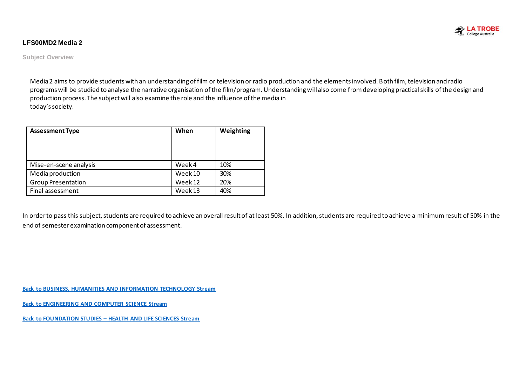

#### <span id="page-23-0"></span>**LFS00MD2 Media 2**

**Subject Overview**

Media 2 aims to provide students with an understanding of film or television or radio production and the elements involved. Both film, television and radio programs will be studied to analyse the narrative organisation of the film/program. Understanding will also come from developing practical skills of the design and production process. The subject will also examine the role and the influence of the media in today's society.

| <b>Assessment Type</b>    | When    | Weighting |
|---------------------------|---------|-----------|
| Mise-en-scene analysis    | Week4   | 10%       |
| Media production          | Week 10 | 30%       |
| <b>Group Presentation</b> | Week 12 | 20%       |
| Final assessment          | Week 13 | 40%       |

In order to pass this subject, students are required to achieve an overall result of at least 50%. In addition, students are required to achieve a minimum result of 50% in the end of semester examination component of assessment.

**[Back to BUSINESS, HUMANITIES AND INFORMATION TECHNOLOGY Stream](#page-0-1)**

**[Back to ENGINEERING AND COMPUTER SCIENCE Stream](#page-2-1)**